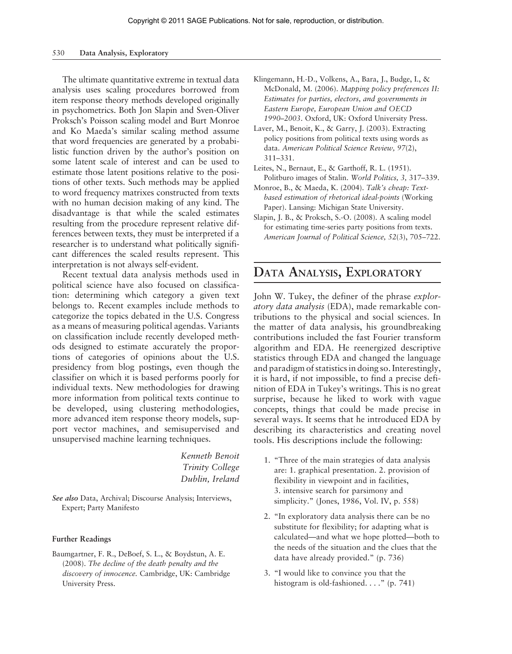## 530 **Data Analysis, Exploratory**

The ultimate quantitative extreme in textual data analysis uses scaling procedures borrowed from item response theory methods developed originally in psychometrics. Both Jon Slapin and Sven-Oliver Proksch's Poisson scaling model and Burt Monroe and Ko Maeda's similar scaling method assume that word frequencies are generated by a probabilistic function driven by the author's position on some latent scale of interest and can be used to estimate those latent positions relative to the positions of other texts. Such methods may be applied to word frequency matrixes constructed from texts with no human decision making of any kind. The disadvantage is that while the scaled estimates resulting from the procedure represent relative differences between texts, they must be interpreted if a researcher is to understand what politically significant differences the scaled results represent. This interpretation is not always self-evident.

Recent textual data analysis methods used in political science have also focused on classification: determining which category a given text belongs to. Recent examples include methods to categorize the topics debated in the U.S. Congress as a means of measuring political agendas. Variants on classification include recently developed methods designed to estimate accurately the proportions of categories of opinions about the U.S. presidency from blog postings, even though the classifier on which it is based performs poorly for individual texts. New methodologies for drawing more information from political texts continue to be developed, using clustering methodologies, more advanced item response theory models, support vector machines, and semisupervised and unsupervised machine learning techniques.

> *Kenneth Benoit Trinity College Dublin, Ireland*

*See also* Data, Archival; Discourse Analysis; Interviews, Expert; Party Manifesto

#### **Further Readings**

Baumgartner, F. R., DeBoef, S. L., & Boydstun, A. E. (2008). *The decline of the death penalty and the discovery of innocence.* Cambridge, UK: Cambridge University Press.

- Klingemann, H.-D., Volkens, A., Bara, J., Budge, I., & McDonald, M. (2006). *Mapping policy preferences II: Estimates for parties, electors, and governments in Eastern Europe, European Union and OECD 1990–2003*. Oxford, UK: Oxford University Press.
- Laver, M., Benoit, K., & Garry, J. (2003). Extracting policy positions from political texts using words as data. *American Political Science Review, 97*(2), 311–331.
- Leites, N., Bernaut, E., & Garthoff, R. L. (1951). Politburo images of Stalin. *World Politics, 3,* 317–339.
- Monroe, B., & Maeda, K. (2004). *Talk's cheap: Textbased estimation of rhetorical ideal-points* (Working Paper). Lansing: Michigan State University.
- Slapin, J. B., & Proksch, S.-O. (2008). A scaling model for estimating time-series party positions from texts. *American Journal of Political Science, 52*(3), 705–722.

## **Data Analysis, Exploratory**

John W. Tukey, the definer of the phrase *exploratory data analysis* (EDA), made remarkable contributions to the physical and social sciences. In the matter of data analysis, his groundbreaking contributions included the fast Fourier transform algorithm and EDA. He reenergized descriptive statistics through EDA and changed the language and paradigm of statistics in doing so. Interestingly, it is hard, if not impossible, to find a precise definition of EDA in Tukey's writings. This is no great surprise, because he liked to work with vague concepts, things that could be made precise in several ways. It seems that he introduced EDA by describing its characteristics and creating novel tools. His descriptions include the following:

- 1. "Three of the main strategies of data analysis are: 1. graphical presentation. 2. provision of flexibility in viewpoint and in facilities, 3. intensive search for parsimony and simplicity." (Jones, 1986, Vol. IV, p. 558)
- 2. "In exploratory data analysis there can be no substitute for flexibility; for adapting what is calculated—and what we hope plotted—both to the needs of the situation and the clues that the data have already provided." (p. 736)
- 3. "I would like to convince you that the histogram is old-fashioned. . . ." (p. 741)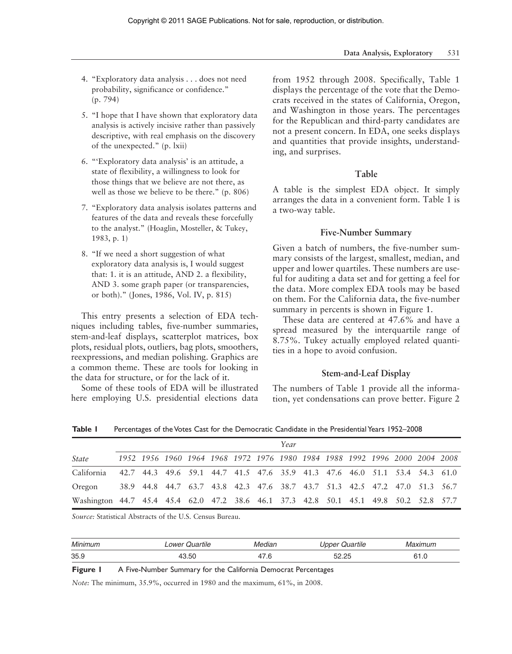- 4. "Exploratory data analysis . . . does not need probability, significance or confidence." (p. 794)
- 5. "I hope that I have shown that exploratory data analysis is actively incisive rather than passively descriptive, with real emphasis on the discovery of the unexpected." (p. lxii)
- 6. "'Exploratory data analysis' is an attitude, a state of flexibility, a willingness to look for those things that we believe are not there, as well as those we believe to be there." (p. 806)
- 7. "Exploratory data analysis isolates patterns and features of the data and reveals these forcefully to the analyst." (Hoaglin, Mosteller, & Tukey, 1983, p. 1)
- 8. "If we need a short suggestion of what exploratory data analysis is, I would suggest that: 1. it is an attitude, AND 2. a flexibility, AND 3. some graph paper (or transparencies, or both)." (Jones, 1986, Vol. IV, p. 815)

This entry presents a selection of EDA techniques including tables, five-number summaries, stem-and-leaf displays, scatterplot matrices, box plots, residual plots, outliers, bag plots, smoothers, reexpressions, and median polishing. Graphics are a common theme. These are tools for looking in the data for structure, or for the lack of it.

Some of these tools of EDA will be illustrated here employing U.S. presidential elections data from 1952 through 2008. Specifically, Table 1 displays the percentage of the vote that the Democrats received in the states of California, Oregon, and Washington in those years. The percentages for the Republican and third-party candidates are not a present concern. In EDA, one seeks displays and quantities that provide insights, understanding, and surprises.

## **Table**

A table is the simplest EDA object. It simply arranges the data in a convenient form. Table 1 is a two-way table.

## **Five-Number Summary**

Given a batch of numbers, the five-number summary consists of the largest, smallest, median, and upper and lower quartiles. These numbers are useful for auditing a data set and for getting a feel for the data. More complex EDA tools may be based on them. For the California data, the five-number summary in percents is shown in Figure 1.

These data are centered at 47.6% and have a spread measured by the interquartile range of 8.75%. Tukey actually employed related quantities in a hope to avoid confusion.

## **Stem-and-Leaf Display**

The numbers of Table 1 provide all the information, yet condensations can prove better. Figure 2

Table I Percentages of the Votes Cast for the Democratic Candidate in the Presidential Years 1952–2008

|                                                                                       |  |  |                                                                            |  | Year |  |  |  |  |
|---------------------------------------------------------------------------------------|--|--|----------------------------------------------------------------------------|--|------|--|--|--|--|
| <i>State</i>                                                                          |  |  | 1952 1956 1960 1964 1968 1972 1976 1980 1984 1988 1992 1996 2000 2004 2008 |  |      |  |  |  |  |
| California                                                                            |  |  | 42.7 44.3 49.6 59.1 44.7 41.5 47.6 35.9 41.3 47.6 46.0 51.1 53.4 54.3 61.0 |  |      |  |  |  |  |
| Oregon                                                                                |  |  | 38.9 44.8 44.7 63.7 43.8 42.3 47.6 38.7 43.7 51.3 42.5 47.2 47.0 51.3 56.7 |  |      |  |  |  |  |
| Washington 44.7 45.4 45.4 62.0 47.2 38.6 46.1 37.3 42.8 50.1 45.1 49.8 50.2 52.8 57.7 |  |  |                                                                            |  |      |  |  |  |  |

*Source:* Statistical Abstracts of the U.S. Census Bureau.

| Minimum | <br>Quartile<br>∟ower ′ | Mediar | .<br>Quartile<br>Inner | ıxımum  |
|---------|-------------------------|--------|------------------------|---------|
| 35.9    | -3.5U                   |        | OF<br>----             | $\cdot$ |

**Figure 1** A Five-Number Summary for the California Democrat Percentages

*Note:* The minimum, 35.9%, occurred in 1980 and the maximum, 61%, in 2008.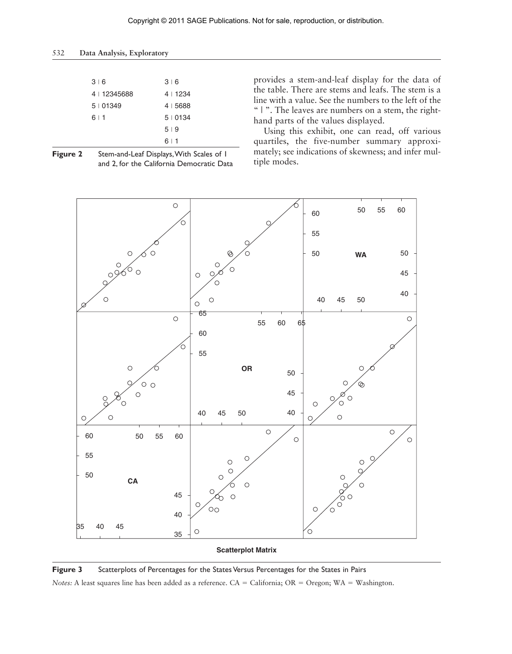| 3 6          | 3 6           |
|--------------|---------------|
| 4   12345688 | $4 + 1234$    |
| 5101349      | $4 + 5688$    |
| 6 1          | $5 \mid 0134$ |
|              | $5+9$         |
|              | $6 \mid 1$    |



provides a stem-and-leaf display for the data of the table. There are stems and leafs. The stem is a line with a value. See the numbers to the left of the " | ". The leaves are numbers on a stem, the righthand parts of the values displayed.

Using this exhibit, one can read, off various quartiles, the five-number summary approximately; see indications of skewness; and infer multiple modes.



**Figure 3** Scatterplots of Percentages for the States Versus Percentages for the States in Pairs

*Notes:* A least squares line has been added as a reference.  $CA = California$ ;  $OR = Oregon$ ;  $WA = Washington$ .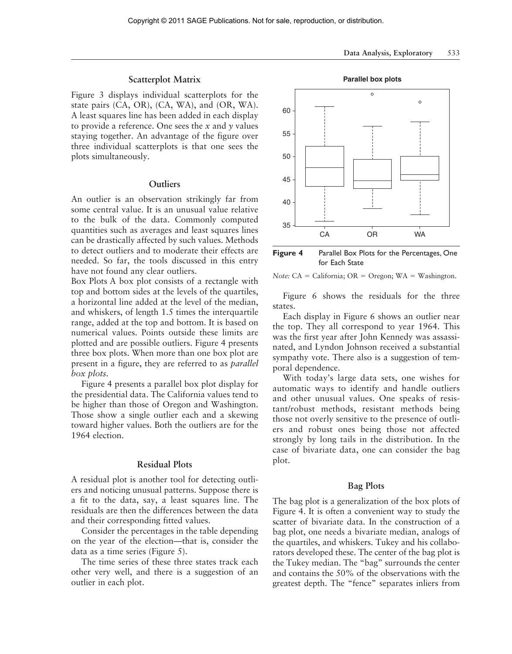## **Scatterplot Matrix**

Figure 3 displays individual scatterplots for the state pairs (CA, OR), (CA, WA), and (OR, WA). A least squares line has been added in each display to provide a reference. One sees the *x* and *y* values staying together. An advantage of the figure over three individual scatterplots is that one sees the plots simultaneously.

#### **Outliers**

An outlier is an observation strikingly far from some central value. It is an unusual value relative to the bulk of the data. Commonly computed quantities such as averages and least squares lines can be drastically affected by such values. Methods to detect outliers and to moderate their effects are needed. So far, the tools discussed in this entry have not found any clear outliers.

Box Plots A box plot consists of a rectangle with top and bottom sides at the levels of the quartiles, a horizontal line added at the level of the median, and whiskers, of length 1.5 times the interquartile range, added at the top and bottom. It is based on numerical values. Points outside these limits are plotted and are possible outliers. Figure 4 presents three box plots. When more than one box plot are present in a figure, they are referred to as *parallel box plots.*

Figure 4 presents a parallel box plot display for the presidential data. The California values tend to be higher than those of Oregon and Washington. Those show a single outlier each and a skewing toward higher values. Both the outliers are for the 1964 election.

#### **Residual Plots**

A residual plot is another tool for detecting outliers and noticing unusual patterns. Suppose there is a fit to the data, say, a least squares line. The residuals are then the differences between the data and their corresponding fitted values.

Consider the percentages in the table depending on the year of the election—that is, consider the data as a time series (Figure 5).

The time series of these three states track each other very well, and there is a suggestion of an outlier in each plot.



**Figure 4** Parallel Box Plots for the Percentages, One for Each State

*Note:*  $CA = California$ ;  $OR = Oregon$ ;  $WA = Washington$ .

Figure 6 shows the residuals for the three states.

Each display in Figure 6 shows an outlier near the top. They all correspond to year 1964. This was the first year after John Kennedy was assassinated, and Lyndon Johnson received a substantial sympathy vote. There also is a suggestion of temporal dependence.

With today's large data sets, one wishes for automatic ways to identify and handle outliers and other unusual values. One speaks of resistant/robust methods, resistant methods being those not overly sensitive to the presence of outliers and robust ones being those not affected strongly by long tails in the distribution. In the case of bivariate data, one can consider the bag plot.

#### **Bag Plots**

The bag plot is a generalization of the box plots of Figure 4. It is often a convenient way to study the scatter of bivariate data. In the construction of a bag plot, one needs a bivariate median, analogs of the quartiles, and whiskers. Tukey and his collaborators developed these. The center of the bag plot is the Tukey median. The "bag" surrounds the center and contains the 50% of the observations with the greatest depth. The "fence" separates inliers from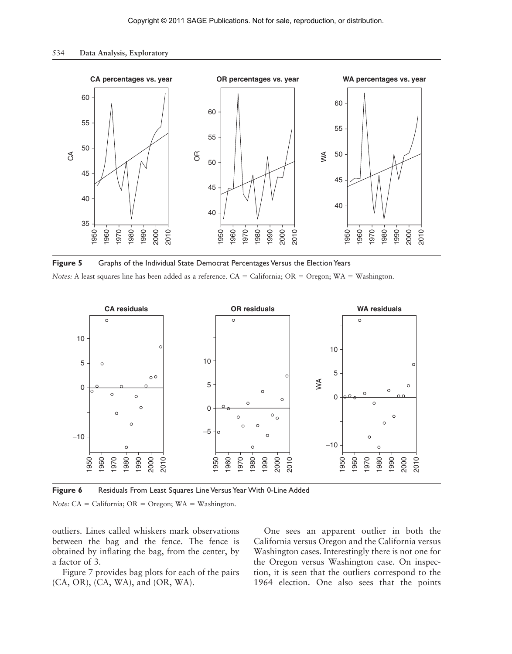

**Figure 5** Graphs of the Individual State Democrat Percentages Versus the Election Years *Notes:* A least squares line has been added as a reference. CA = California; OR = Oregon; WA = Washington.



**Figure 6** Residuals From Least Squares Line Versus Year With 0-Line Added

*Note:* CA = California; OR = Oregon; WA = Washington.

outliers. Lines called whiskers mark observations between the bag and the fence. The fence is obtained by inflating the bag, from the center, by a factor of 3.

Figure 7 provides bag plots for each of the pairs (CA, OR), (CA, WA), and (OR, WA).

One sees an apparent outlier in both the California versus Oregon and the California versus Washington cases. Interestingly there is not one for the Oregon versus Washington case. On inspection, it is seen that the outliers correspond to the 1964 election. One also sees that the points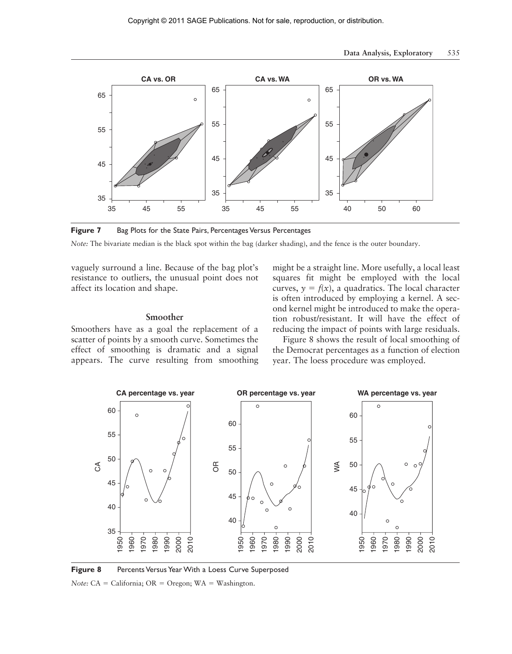

**Figure 7** Bag Plots for the State Pairs, Percentages Versus Percentages

*Note:* The bivariate median is the black spot within the bag (darker shading), and the fence is the outer boundary.

vaguely surround a line. Because of the bag plot's resistance to outliers, the unusual point does not affect its location and shape.

## **Smoother**

Smoothers have as a goal the replacement of a scatter of points by a smooth curve. Sometimes the effect of smoothing is dramatic and a signal appears. The curve resulting from smoothing might be a straight line. More usefully, a local least squares fit might be employed with the local curves,  $y = f(x)$ , a quadratics. The local character is often introduced by employing a kernel. A second kernel might be introduced to make the operation robust/resistant. It will have the effect of reducing the impact of points with large residuals.

Figure 8 shows the result of local smoothing of the Democrat percentages as a function of election year. The loess procedure was employed.



**Figure 8** Percents Versus Year With a Loess Curve Superposed

*Note:*  $CA = California$ ;  $OR = Oregon$ ;  $WA = Washington$ .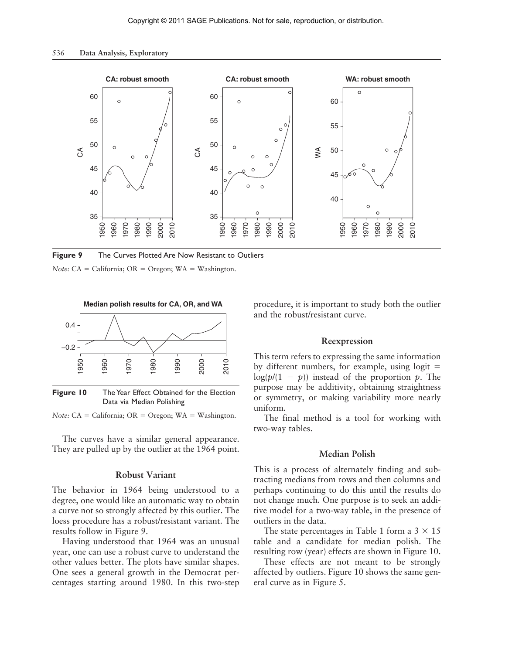

**Figure 9** The Curves Plotted Are Now Resistant to Outliers *Note:*  $CA = California$ ;  $OR = Oregon$ ;  $WA = Washington$ .



**Figure 10** The Year Effect Obtained for the Election Data via Median Polishing

*Note:*  $CA = California$ ;  $OR = Oregon$ ;  $WA = Washington$ .

The curves have a similar general appearance. They are pulled up by the outlier at the 1964 point.

## **Robust Variant**

The behavior in 1964 being understood to a degree, one would like an automatic way to obtain a curve not so strongly affected by this outlier. The loess procedure has a robust/resistant variant. The results follow in Figure 9.

Having understood that 1964 was an unusual year, one can use a robust curve to understand the other values better. The plots have similar shapes. One sees a general growth in the Democrat percentages starting around 1980. In this two-step procedure, it is important to study both the outlier and the robust/resistant curve.

#### **Reexpression**

This term refers to expressing the same information by different numbers, for example, using logit  $log(p/(1 - p))$  instead of the proportion p. The purpose may be additivity, obtaining straightness or symmetry, or making variability more nearly uniform.

The final method is a tool for working with two-way tables.

### **Median Polish**

This is a process of alternately finding and subtracting medians from rows and then columns and perhaps continuing to do this until the results do not change much. One purpose is to seek an additive model for a two-way table, in the presence of outliers in the data.

The state percentages in Table 1 form a  $3 \times 15$ table and a candidate for median polish. The resulting row (year) effects are shown in Figure 10.

These effects are not meant to be strongly affected by outliers. Figure 10 shows the same general curve as in Figure 5.